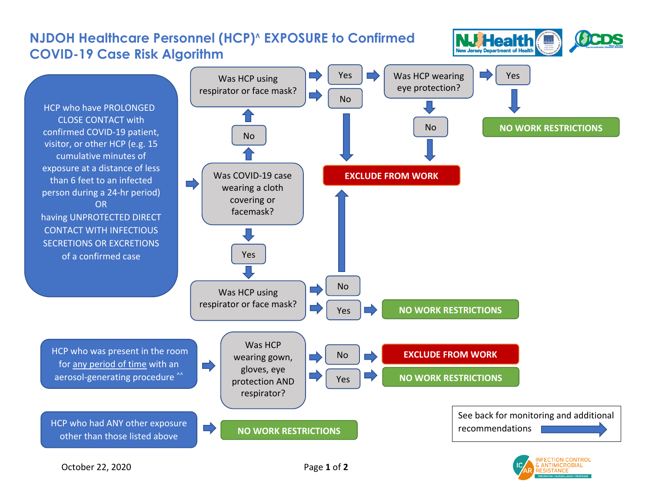

**TION CONTROL**